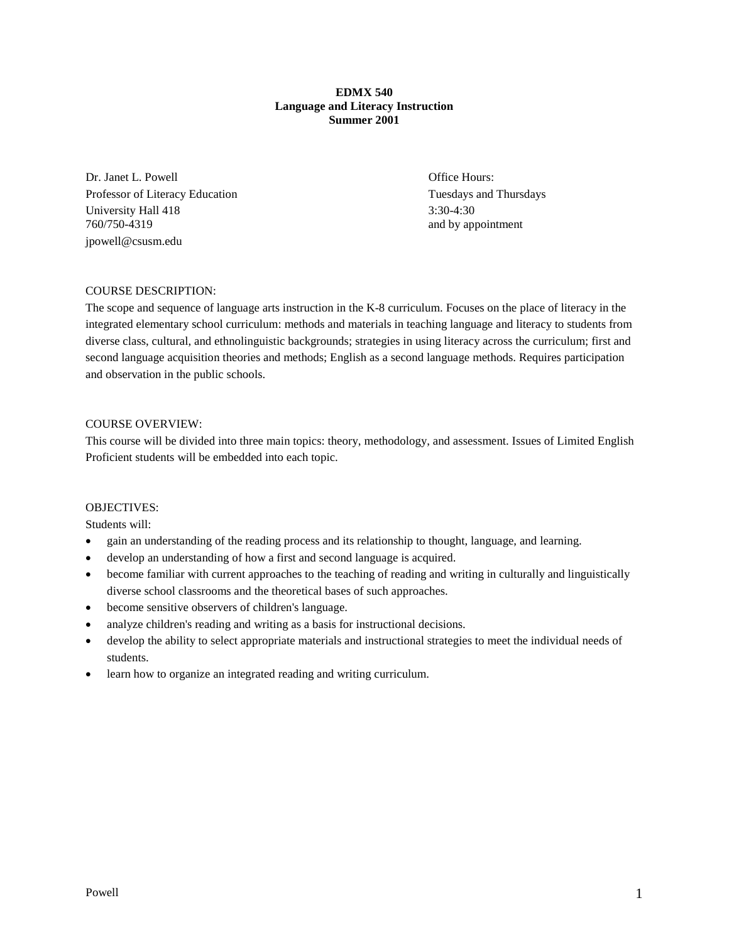### **EDMX 540 Language and Literacy Instruction Summer 2001**

Dr. Janet L. Powell **Office Hours:** Office Hours: Professor of Literacy Education Tuesdays and Thursdays and Thursdays and Thursdays University Hall 418 3:30-4:30 760/750-4319 and by appointment jpowell@csusm.edu

# COURSE DESCRIPTION:

The scope and sequence of language arts instruction in the K-8 curriculum. Focuses on the place of literacy in the integrated elementary school curriculum: methods and materials in teaching language and literacy to students from diverse class, cultural, and ethnolinguistic backgrounds; strategies in using literacy across the curriculum; first and second language acquisition theories and methods; English as a second language methods. Requires participation and observation in the public schools.

### COURSE OVERVIEW:

This course will be divided into three main topics: theory, methodology, and assessment. Issues of Limited English Proficient students will be embedded into each topic.

### OBJECTIVES:

Students will:

- gain an understanding of the reading process and its relationship to thought, language, and learning.
- develop an understanding of how a first and second language is acquired.
- become familiar with current approaches to the teaching of reading and writing in culturally and linguistically diverse school classrooms and the theoretical bases of such approaches.
- become sensitive observers of children's language.
- analyze children's reading and writing as a basis for instructional decisions.
- develop the ability to select appropriate materials and instructional strategies to meet the individual needs of students.
- learn how to organize an integrated reading and writing curriculum.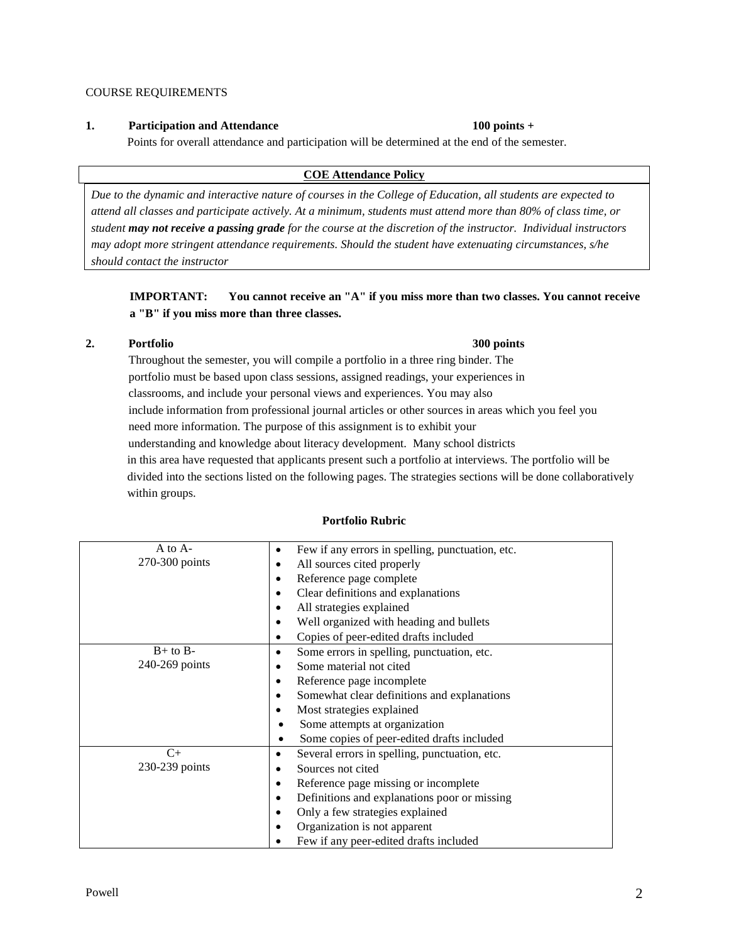# COURSE REQUIREMENTS

# **1. Participation and Attendance 100 points +**

Points for overall attendance and participation will be determined at the end of the semester.

# **COE Attendance Policy**

*Due to the dynamic and interactive nature of courses in the College of Education, all students are expected to attend all classes and participate actively. At a minimum, students must attend more than 80% of class time, or student may not receive a passing grade for the course at the discretion of the instructor. Individual instructors may adopt more stringent attendance requirements. Should the student have extenuating circumstances, s/he should contact the instructor*

**IMPORTANT: You cannot receive an "A" if you miss more than two classes. You cannot receive a "B" if you miss more than three classes.**

# **2. Portfolio 300 points**

Throughout the semester, you will compile a portfolio in a three ring binder. The portfolio must be based upon class sessions, assigned readings, your experiences in classrooms, and include your personal views and experiences. You may also include information from professional journal articles or other sources in areas which you feel you need more information. The purpose of this assignment is to exhibit your understanding and knowledge about literacy development. Many school districts in this area have requested that applicants present such a portfolio at interviews. The portfolio will be divided into the sections listed on the following pages. The strategies sections will be done collaboratively within groups.

# **Portfolio Rubric**

| $A$ to $A-$    | Few if any errors in spelling, punctuation, etc. |
|----------------|--------------------------------------------------|
| 270-300 points | All sources cited properly                       |
|                | Reference page complete                          |
|                | Clear definitions and explanations               |
|                | All strategies explained                         |
|                | Well organized with heading and bullets          |
|                | Copies of peer-edited drafts included            |
| $B+$ to $B-$   | Some errors in spelling, punctuation, etc.       |
| 240-269 points | Some material not cited                          |
|                | Reference page incomplete<br>٠                   |
|                | Somewhat clear definitions and explanations      |
|                | Most strategies explained<br>٠                   |
|                | Some attempts at organization                    |
|                | Some copies of peer-edited drafts included<br>٠  |
| $C+$           | Several errors in spelling, punctuation, etc.    |
| 230-239 points | Sources not cited                                |
|                | Reference page missing or incomplete             |
|                | Definitions and explanations poor or missing     |
|                | Only a few strategies explained                  |
|                | Organization is not apparent                     |
|                | Few if any peer-edited drafts included           |

# Powell 2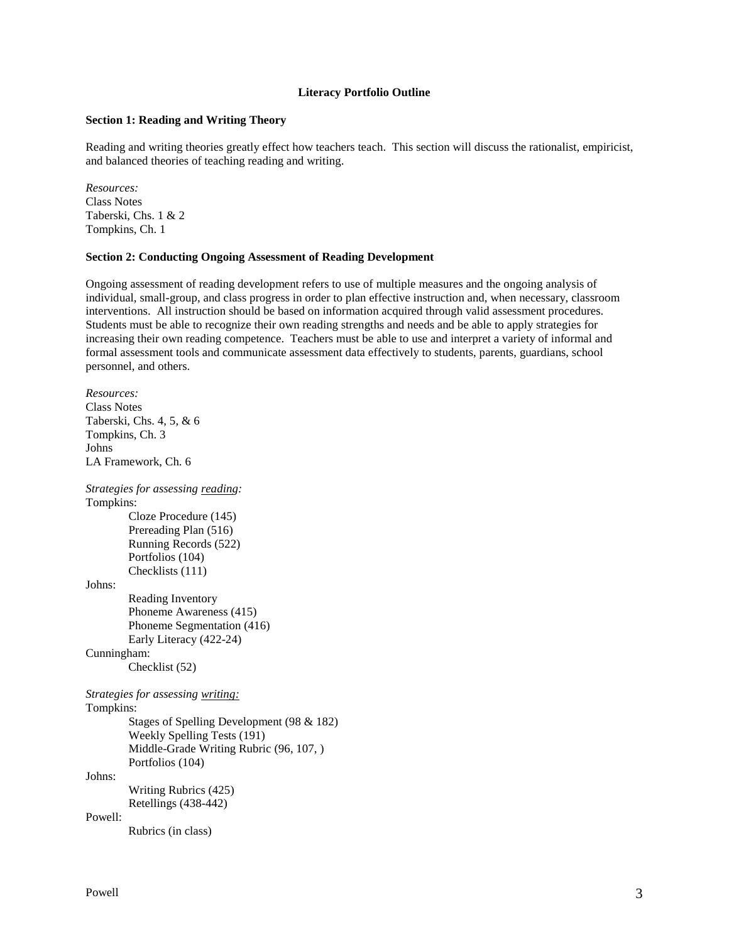# **Literacy Portfolio Outline**

### **Section 1: Reading and Writing Theory**

Reading and writing theories greatly effect how teachers teach. This section will discuss the rationalist, empiricist, and balanced theories of teaching reading and writing.

*Resources:* Class Notes Taberski, Chs. 1 & 2 Tompkins, Ch. 1

# **Section 2: Conducting Ongoing Assessment of Reading Development**

Ongoing assessment of reading development refers to use of multiple measures and the ongoing analysis of individual, small-group, and class progress in order to plan effective instruction and, when necessary, classroom interventions. All instruction should be based on information acquired through valid assessment procedures. Students must be able to recognize their own reading strengths and needs and be able to apply strategies for increasing their own reading competence. Teachers must be able to use and interpret a variety of informal and formal assessment tools and communicate assessment data effectively to students, parents, guardians, school personnel, and others.

*Resources:* Class Notes Taberski, Chs. 4, 5, & 6 Tompkins, Ch. 3 Johns LA Framework, Ch. 6 *Strategies for assessing reading:* Tompkins: Cloze Procedure (145) Prereading Plan (516) Running Records (522) Portfolios (104) Checklists (111) Johns: Reading Inventory Phoneme Awareness (415) Phoneme Segmentation (416) Early Literacy (422-24) Cunningham: Checklist (52) *Strategies for assessing writing:* Tompkins: Stages of Spelling Development (98 & 182) Weekly Spelling Tests (191) Middle-Grade Writing Rubric (96, 107, ) Portfolios (104) Johns: Writing Rubrics (425) Retellings (438-442) Powell: Rubrics (in class)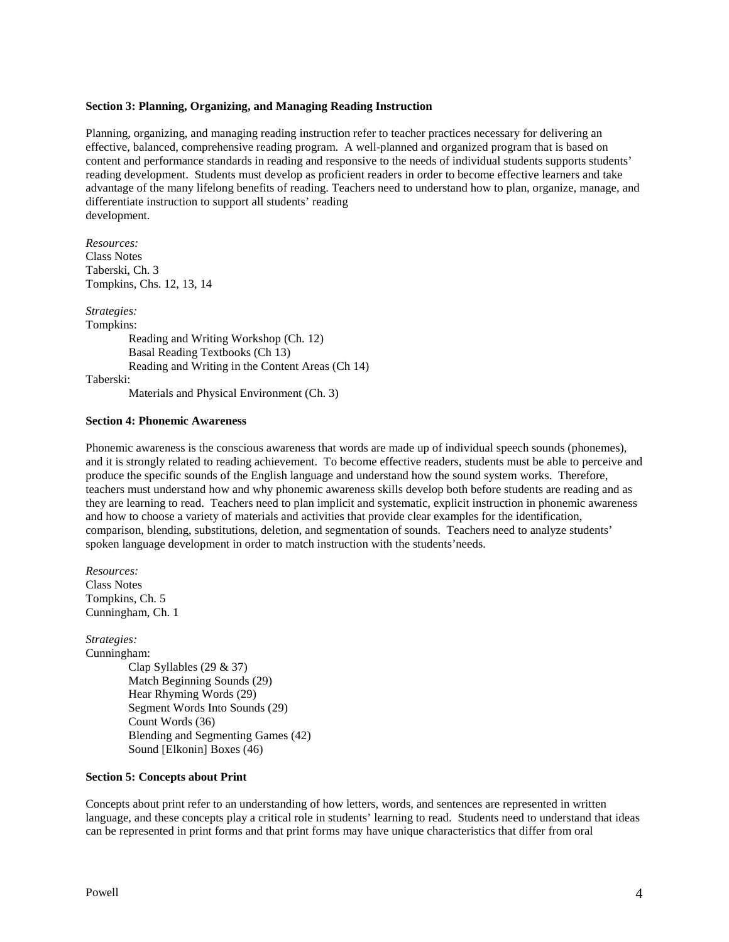#### **Section 3: Planning, Organizing, and Managing Reading Instruction**

Planning, organizing, and managing reading instruction refer to teacher practices necessary for delivering an effective, balanced, comprehensive reading program. A well-planned and organized program that is based on content and performance standards in reading and responsive to the needs of individual students supports students' reading development. Students must develop as proficient readers in order to become effective learners and take advantage of the many lifelong benefits of reading. Teachers need to understand how to plan, organize, manage, and differentiate instruction to support all students' reading development.

*Resources:* Class Notes Taberski, Ch. 3 Tompkins, Chs. 12, 13, 14

*Strategies:* Tompkins: Reading and Writing Workshop (Ch. 12) Basal Reading Textbooks (Ch 13) Reading and Writing in the Content Areas (Ch 14) Taberski:

Materials and Physical Environment (Ch. 3)

#### **Section 4: Phonemic Awareness**

Phonemic awareness is the conscious awareness that words are made up of individual speech sounds (phonemes), and it is strongly related to reading achievement. To become effective readers, students must be able to perceive and produce the specific sounds of the English language and understand how the sound system works. Therefore, teachers must understand how and why phonemic awareness skills develop both before students are reading and as they are learning to read. Teachers need to plan implicit and systematic, explicit instruction in phonemic awareness and how to choose a variety of materials and activities that provide clear examples for the identification, comparison, blending, substitutions, deletion, and segmentation of sounds. Teachers need to analyze students' spoken language development in order to match instruction with the students'needs.

*Resources:* Class Notes Tompkins, Ch. 5 Cunningham, Ch. 1

*Strategies:*

Cunningham: Clap Syllables (29 & 37) Match Beginning Sounds (29) Hear Rhyming Words (29) Segment Words Into Sounds (29) Count Words (36) Blending and Segmenting Games (42) Sound [Elkonin] Boxes (46)

#### **Section 5: Concepts about Print**

Concepts about print refer to an understanding of how letters, words, and sentences are represented in written language, and these concepts play a critical role in students' learning to read. Students need to understand that ideas can be represented in print forms and that print forms may have unique characteristics that differ from oral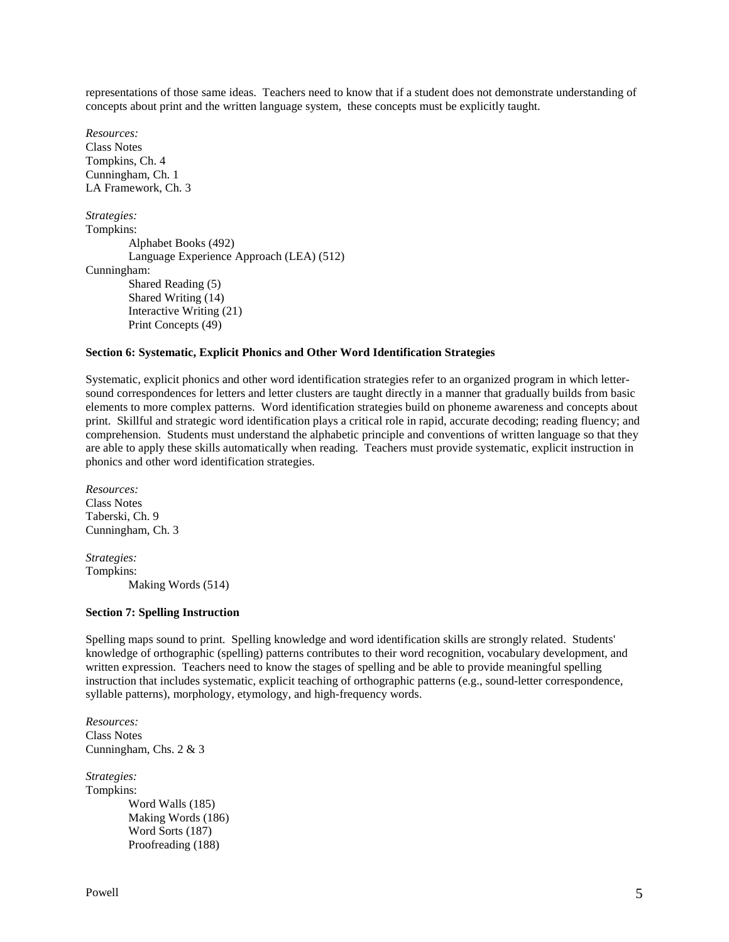representations of those same ideas. Teachers need to know that if a student does not demonstrate understanding of concepts about print and the written language system, these concepts must be explicitly taught.

*Resources:* Class Notes Tompkins, Ch. 4 Cunningham, Ch. 1 LA Framework, Ch. 3 *Strategies:* Tompkins: Alphabet Books (492) Language Experience Approach (LEA) (512) Cunningham: Shared Reading (5) Shared Writing (14) Interactive Writing (21) Print Concepts (49)

#### **Section 6: Systematic, Explicit Phonics and Other Word Identification Strategies**

Systematic, explicit phonics and other word identification strategies refer to an organized program in which lettersound correspondences for letters and letter clusters are taught directly in a manner that gradually builds from basic elements to more complex patterns. Word identification strategies build on phoneme awareness and concepts about print. Skillful and strategic word identification plays a critical role in rapid, accurate decoding; reading fluency; and comprehension. Students must understand the alphabetic principle and conventions of written language so that they are able to apply these skills automatically when reading. Teachers must provide systematic, explicit instruction in phonics and other word identification strategies.

*Resources:* Class Notes Taberski, Ch. 9 Cunningham, Ch. 3

*Strategies:* Tompkins: Making Words (514)

#### **Section 7: Spelling Instruction**

Spelling maps sound to print. Spelling knowledge and word identification skills are strongly related. Students' knowledge of orthographic (spelling) patterns contributes to their word recognition, vocabulary development, and written expression. Teachers need to know the stages of spelling and be able to provide meaningful spelling instruction that includes systematic, explicit teaching of orthographic patterns (e.g., sound-letter correspondence, syllable patterns), morphology, etymology, and high-frequency words.

*Resources:* Class Notes Cunningham, Chs. 2 & 3

*Strategies:* Tompkins: Word Walls (185) Making Words (186) Word Sorts (187) Proofreading (188)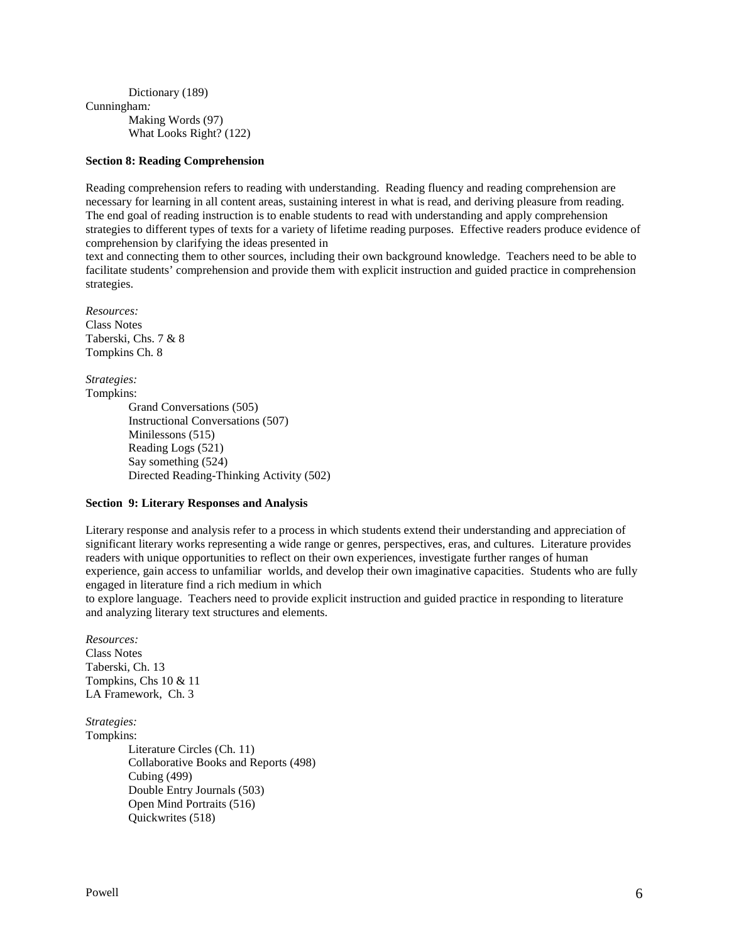Dictionary (189) Cunningham*:* Making Words (97) What Looks Right? (122)

### **Section 8: Reading Comprehension**

Reading comprehension refers to reading with understanding. Reading fluency and reading comprehension are necessary for learning in all content areas, sustaining interest in what is read, and deriving pleasure from reading. The end goal of reading instruction is to enable students to read with understanding and apply comprehension strategies to different types of texts for a variety of lifetime reading purposes. Effective readers produce evidence of comprehension by clarifying the ideas presented in

text and connecting them to other sources, including their own background knowledge. Teachers need to be able to facilitate students' comprehension and provide them with explicit instruction and guided practice in comprehension strategies.

*Resources:* Class Notes Taberski, Chs. 7 & 8 Tompkins Ch. 8

*Strategies:* Tompkins: Grand Conversations (505) Instructional Conversations (507) Minilessons (515) Reading Logs (521) Say something (524) Directed Reading-Thinking Activity (502)

# **Section 9: Literary Responses and Analysis**

Literary response and analysis refer to a process in which students extend their understanding and appreciation of significant literary works representing a wide range or genres, perspectives, eras, and cultures. Literature provides readers with unique opportunities to reflect on their own experiences, investigate further ranges of human experience, gain access to unfamiliar worlds, and develop their own imaginative capacities. Students who are fully engaged in literature find a rich medium in which

to explore language. Teachers need to provide explicit instruction and guided practice in responding to literature and analyzing literary text structures and elements.

*Resources:*  Class Notes Taberski, Ch. 13 Tompkins, Chs 10 & 11 LA Framework, Ch. 3

*Strategies:* Tompkins: Literature Circles (Ch. 11) Collaborative Books and Reports (498) Cubing (499) Double Entry Journals (503) Open Mind Portraits (516) Quickwrites (518)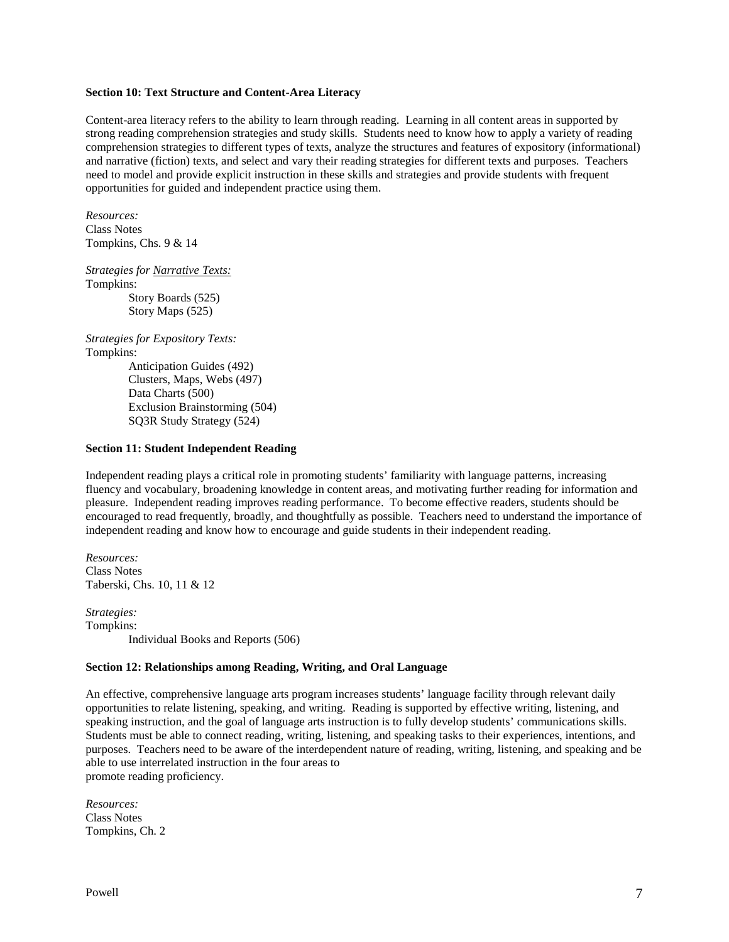### **Section 10: Text Structure and Content-Area Literacy**

Content-area literacy refers to the ability to learn through reading. Learning in all content areas in supported by strong reading comprehension strategies and study skills. Students need to know how to apply a variety of reading comprehension strategies to different types of texts, analyze the structures and features of expository (informational) and narrative (fiction) texts, and select and vary their reading strategies for different texts and purposes. Teachers need to model and provide explicit instruction in these skills and strategies and provide students with frequent opportunities for guided and independent practice using them.

*Resources:* Class Notes Tompkins, Chs. 9 & 14

*Strategies for Narrative Texts:* Tompkins: Story Boards (525)

Story Maps (525)

*Strategies for Expository Texts:* Tompkins:

Anticipation Guides (492) Clusters, Maps, Webs (497) Data Charts (500) Exclusion Brainstorming (504) SQ3R Study Strategy (524)

#### **Section 11: Student Independent Reading**

Independent reading plays a critical role in promoting students' familiarity with language patterns, increasing fluency and vocabulary, broadening knowledge in content areas, and motivating further reading for information and pleasure. Independent reading improves reading performance. To become effective readers, students should be encouraged to read frequently, broadly, and thoughtfully as possible. Teachers need to understand the importance of independent reading and know how to encourage and guide students in their independent reading.

*Resources:* Class Notes Taberski, Chs. 10, 11 & 12

*Strategies:* Tompkins: Individual Books and Reports (506)

### **Section 12: Relationships among Reading, Writing, and Oral Language**

An effective, comprehensive language arts program increases students' language facility through relevant daily opportunities to relate listening, speaking, and writing. Reading is supported by effective writing, listening, and speaking instruction, and the goal of language arts instruction is to fully develop students' communications skills. Students must be able to connect reading, writing, listening, and speaking tasks to their experiences, intentions, and purposes. Teachers need to be aware of the interdependent nature of reading, writing, listening, and speaking and be able to use interrelated instruction in the four areas to promote reading proficiency.

*Resources:* Class Notes Tompkins, Ch. 2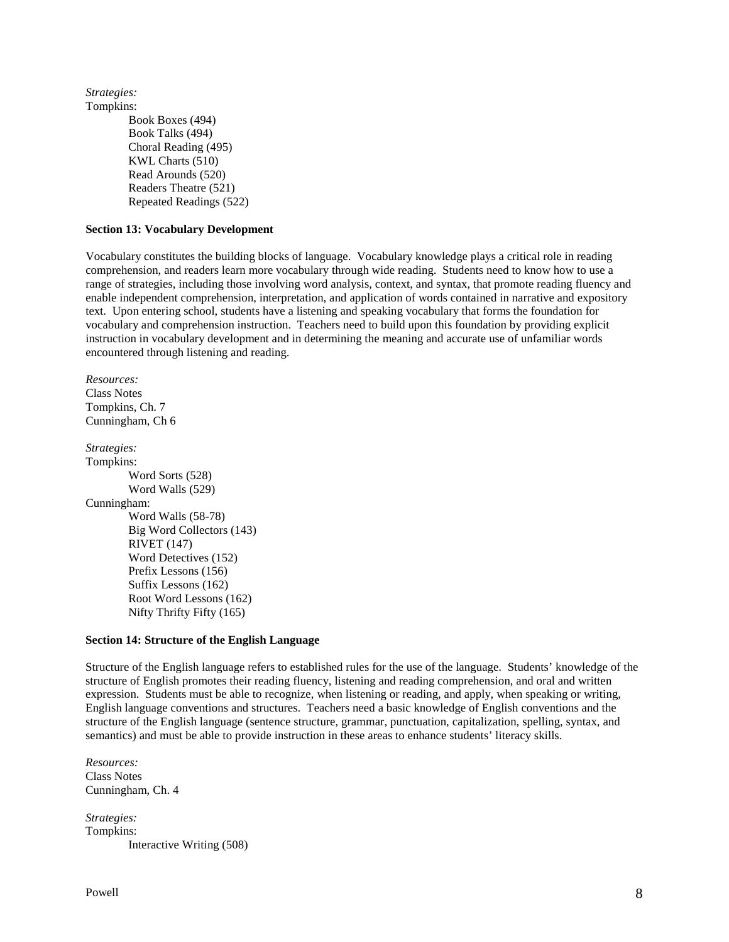*Strategies:* Tompkins: Book Boxes (494) Book Talks (494) Choral Reading (495) KWL Charts (510) Read Arounds (520) Readers Theatre (521) Repeated Readings (522)

#### **Section 13: Vocabulary Development**

Vocabulary constitutes the building blocks of language. Vocabulary knowledge plays a critical role in reading comprehension, and readers learn more vocabulary through wide reading. Students need to know how to use a range of strategies, including those involving word analysis, context, and syntax, that promote reading fluency and enable independent comprehension, interpretation, and application of words contained in narrative and expository text. Upon entering school, students have a listening and speaking vocabulary that forms the foundation for vocabulary and comprehension instruction. Teachers need to build upon this foundation by providing explicit instruction in vocabulary development and in determining the meaning and accurate use of unfamiliar words encountered through listening and reading.

*Resources:* Class Notes Tompkins, Ch. 7 Cunningham, Ch 6 *Strategies:*

Tompkins: Word Sorts (528) Word Walls (529) Cunningham: Word Walls (58-78) Big Word Collectors (143) RIVET (147) Word Detectives (152) Prefix Lessons (156) Suffix Lessons (162) Root Word Lessons (162) Nifty Thrifty Fifty (165)

#### **Section 14: Structure of the English Language**

Structure of the English language refers to established rules for the use of the language. Students' knowledge of the structure of English promotes their reading fluency, listening and reading comprehension, and oral and written expression. Students must be able to recognize, when listening or reading, and apply, when speaking or writing, English language conventions and structures. Teachers need a basic knowledge of English conventions and the structure of the English language (sentence structure, grammar, punctuation, capitalization, spelling, syntax, and semantics) and must be able to provide instruction in these areas to enhance students' literacy skills.

*Resources:* Class Notes Cunningham, Ch. 4

*Strategies:* Tompkins: Interactive Writing (508)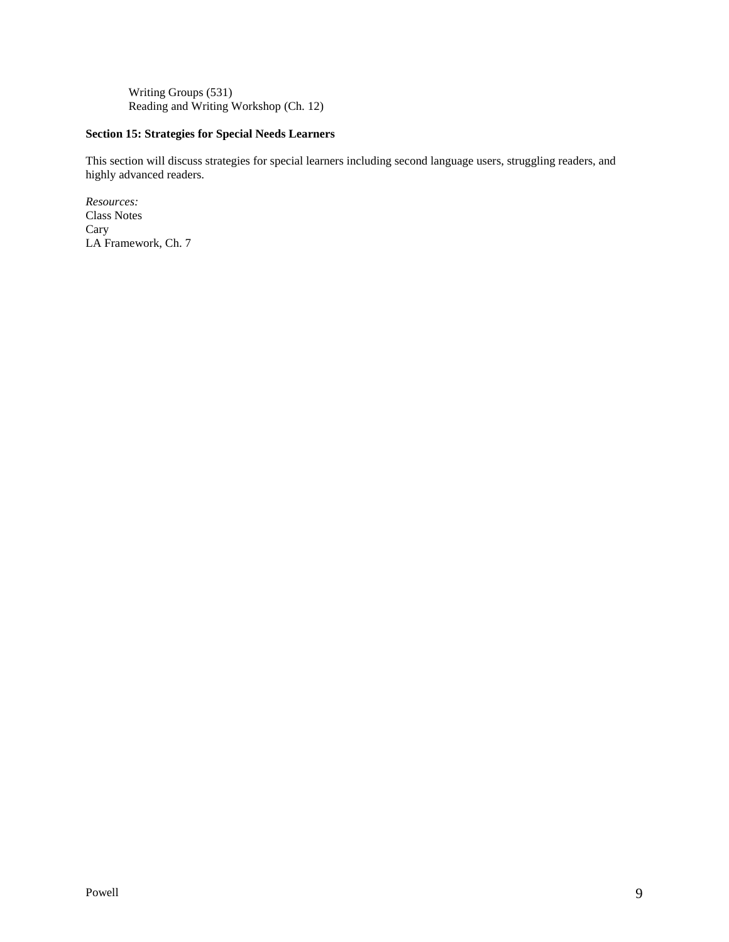Writing Groups (531) Reading and Writing Workshop (Ch. 12)

# **Section 15: Strategies for Special Needs Learners**

This section will discuss strategies for special learners including second language users, struggling readers, and highly advanced readers.

*Resources:* Class Notes Cary LA Framework, Ch. 7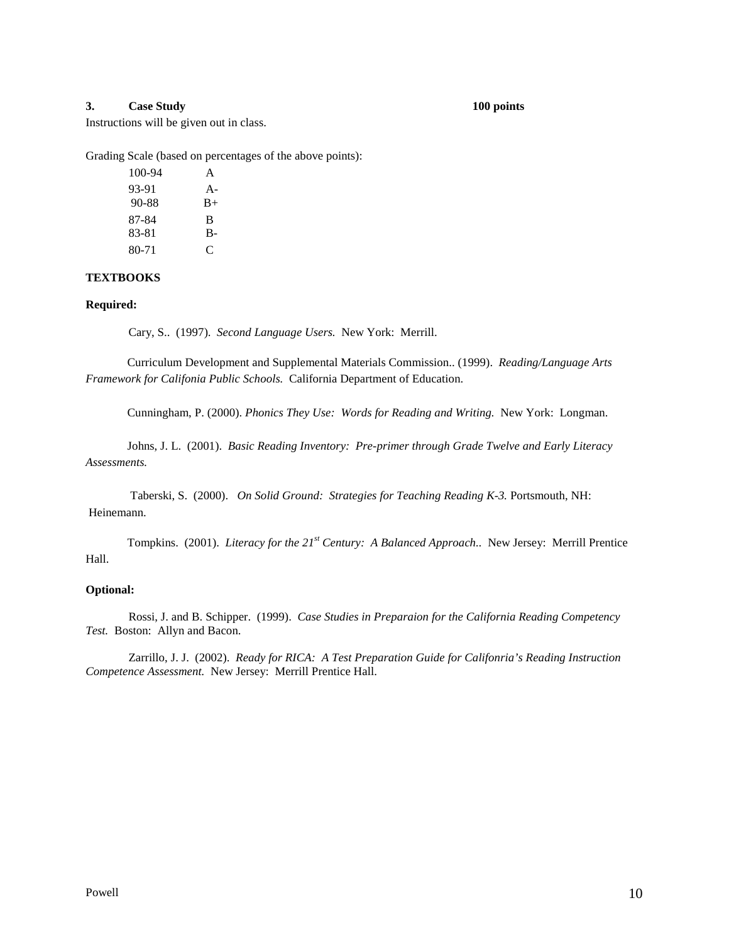#### **3. Case Study 100 points**

Instructions will be given out in class.

Grading Scale (based on percentages of the above points):

| 100-94 | A     |
|--------|-------|
| 93-91  | $A -$ |
| 90-88  | $B+$  |
| 87-84  | B     |
| 83-81  | в.    |
| 80-71  | C     |

# **TEXTBOOKS**

#### **Required:**

Cary, S.. (1997). *Second Language Users.* New York: Merrill.

Curriculum Development and Supplemental Materials Commission.. (1999). *Reading/Language Arts Framework for Califonia Public Schools.* California Department of Education.

Cunningham, P. (2000). *Phonics They Use: Words for Reading and Writing.* New York: Longman.

Johns, J. L. (2001). *Basic Reading Inventory: Pre-primer through Grade Twelve and Early Literacy Assessments.*

Taberski, S. (2000). *On Solid Ground: Strategies for Teaching Reading K-3.* Portsmouth, NH: Heinemann.

Tompkins. (2001). *Literacy for the 21st Century: A Balanced Approach..* New Jersey: Merrill Prentice Hall.

#### **Optional:**

Rossi, J. and B. Schipper. (1999). *Case Studies in Preparaion for the California Reading Competency Test.* Boston: Allyn and Bacon.

Zarrillo, J. J. (2002). *Ready for RICA: A Test Preparation Guide for Califonria's Reading Instruction Competence Assessment.* New Jersey: Merrill Prentice Hall.